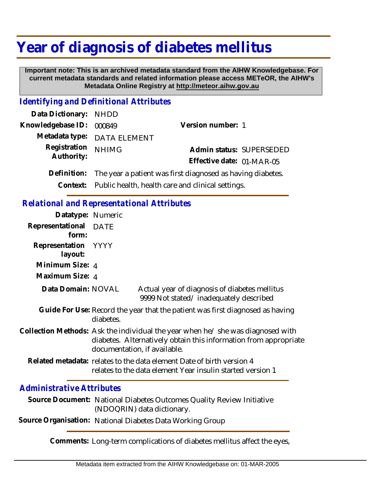## **Year of diagnosis of diabetes mellitus**

 **Important note: This is an archived metadata standard from the AIHW Knowledgebase. For current metadata standards and related information please access METeOR, the AIHW's Metadata Online Registry at http://meteor.aihw.gov.au**

## *Identifying and Definitional Attributes*

| Data Dictionary: NHDD    |                                                                        |                           |                          |
|--------------------------|------------------------------------------------------------------------|---------------------------|--------------------------|
| Knowledgebase ID: 000849 |                                                                        | Version number: 1         |                          |
|                          | Metadata type: DATA ELEMENT                                            |                           |                          |
| Registration             | <b>NHIMG</b>                                                           |                           | Admin status: SUPERSEDED |
| Authority:               |                                                                        | Effective date: 01-MAR-05 |                          |
|                          | Definition: The year a patient was first diagnosed as having diabetes. |                           |                          |
|                          |                                                                        |                           |                          |

**Context:** Public health, health care and clinical settings.

## *Relational and Representational Attributes*

| Datatype: Numeric              |                                                                                                                                                                                    |  |
|--------------------------------|------------------------------------------------------------------------------------------------------------------------------------------------------------------------------------|--|
| Representational DATE<br>form: |                                                                                                                                                                                    |  |
| Representation YYYY<br>layout: |                                                                                                                                                                                    |  |
| Minimum Size: 4                |                                                                                                                                                                                    |  |
| Maximum Size: 4                |                                                                                                                                                                                    |  |
| Data Domain: NOVAL             | Actual year of diagnosis of diabetes mellitus<br>9999 Not stated/inadequately described                                                                                            |  |
|                                | Guide For Use: Record the year that the patient was first diagnosed as having<br>diabetes.                                                                                         |  |
|                                | Collection Methods: Ask the individual the year when he/she was diagnosed with<br>diabetes. Alternatively obtain this information from appropriate<br>documentation, if available. |  |
|                                | Related metadata: relates to the data element Date of birth version 4<br>relates to the data element Year insulin started version 1                                                |  |
|                                |                                                                                                                                                                                    |  |

## *Administrative Attributes*

Source Document: National Diabetes Outcomes Quality Review Initiative (NDOQRIN) data dictionary.

**Source Organisation:** National Diabetes Data Working Group

**Comments:** Long-term complications of diabetes mellitus affect the eyes,